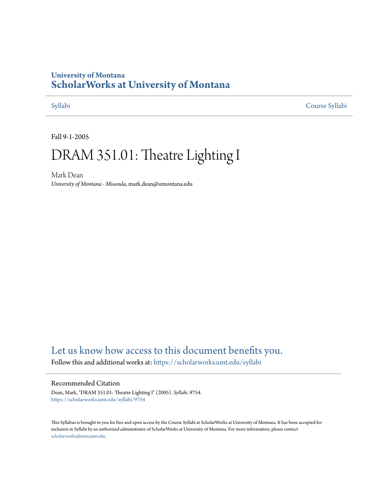# **University of Montana [ScholarWorks at University of Montana](https://scholarworks.umt.edu?utm_source=scholarworks.umt.edu%2Fsyllabi%2F9754&utm_medium=PDF&utm_campaign=PDFCoverPages)**

[Syllabi](https://scholarworks.umt.edu/syllabi?utm_source=scholarworks.umt.edu%2Fsyllabi%2F9754&utm_medium=PDF&utm_campaign=PDFCoverPages) [Course Syllabi](https://scholarworks.umt.edu/course_syllabi?utm_source=scholarworks.umt.edu%2Fsyllabi%2F9754&utm_medium=PDF&utm_campaign=PDFCoverPages)

Fall 9-1-2005

# DRAM 351.01: Theatre Lighting I

Mark Dean *University of Montana - Missoula*, mark.dean@umontana.edu

# [Let us know how access to this document benefits you.](https://goo.gl/forms/s2rGfXOLzz71qgsB2)

Follow this and additional works at: [https://scholarworks.umt.edu/syllabi](https://scholarworks.umt.edu/syllabi?utm_source=scholarworks.umt.edu%2Fsyllabi%2F9754&utm_medium=PDF&utm_campaign=PDFCoverPages)

#### Recommended Citation

Dean, Mark, "DRAM 351.01: Theatre Lighting I" (2005). *Syllabi*. 9754. [https://scholarworks.umt.edu/syllabi/9754](https://scholarworks.umt.edu/syllabi/9754?utm_source=scholarworks.umt.edu%2Fsyllabi%2F9754&utm_medium=PDF&utm_campaign=PDFCoverPages)

This Syllabus is brought to you for free and open access by the Course Syllabi at ScholarWorks at University of Montana. It has been accepted for inclusion in Syllabi by an authorized administrator of ScholarWorks at University of Montana. For more information, please contact [scholarworks@mso.umt.edu](mailto:scholarworks@mso.umt.edu).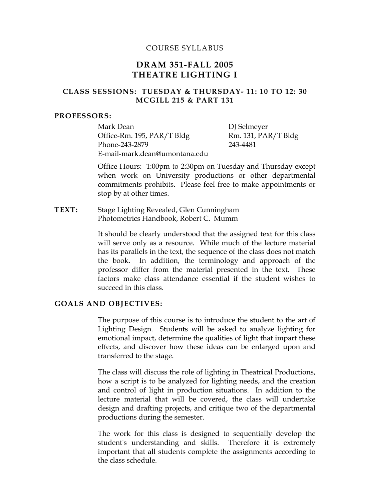#### COURSE SYLLABUS

## **DRAM 351-FALL 2005 THEATRE LIGHTING I**

#### **CLASS SESSIONS: TUESDAY & THURSDAY- 11: 10 TO 12: 30 MCGILL 215 & PART 131**

#### **PROFESSORS:**

Mark Dean DJ Selmeyer Office-Rm. 195, PAR/T Bldg Rm. 131, PAR/T Bldg Phone-243-2879 243-4481 E-mail-mark.dean@umontana.edu

Office Hours: 1:00pm to 2:30pm on Tuesday and Thursday except when work on University productions or other departmental commitments prohibits. Please feel free to make appointments or stop by at other times.

**TEXT:** Stage Lighting Revealed, Glen Cunningham Photometrics Handbook, Robert C. Mumm

> It should be clearly understood that the assigned text for this class will serve only as a resource. While much of the lecture material has its parallels in the text, the sequence of the class does not match the book. In addition, the terminology and approach of the professor differ from the material presented in the text. These factors make class attendance essential if the student wishes to succeed in this class.

#### **GOALS AND OBJECTIVES:**

The purpose of this course is to introduce the student to the art of Lighting Design. Students will be asked to analyze lighting for emotional impact, determine the qualities of light that impart these effects, and discover how these ideas can be enlarged upon and transferred to the stage.

The class will discuss the role of lighting in Theatrical Productions, how a script is to be analyzed for lighting needs, and the creation and control of light in production situations. In addition to the lecture material that will be covered, the class will undertake design and drafting projects, and critique two of the departmental productions during the semester.

The work for this class is designed to sequentially develop the student's understanding and skills. Therefore it is extremely important that all students complete the assignments according to the class schedule.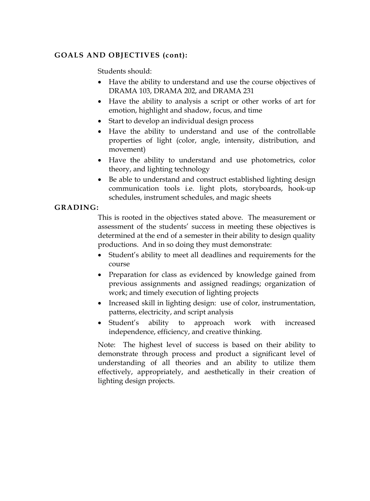### **GOALS AND OBJECTIVES (cont):**

Students should:

- Have the ability to understand and use the course objectives of DRAMA 103, DRAMA 202, and DRAMA 231
- Have the ability to analysis a script or other works of art for emotion, highlight and shadow, focus, and time
- Start to develop an individual design process
- Have the ability to understand and use of the controllable properties of light (color, angle, intensity, distribution, and movement)
- Have the ability to understand and use photometrics, color theory, and lighting technology
- Be able to understand and construct established lighting design communication tools i.e. light plots, storyboards, hook-up schedules, instrument schedules, and magic sheets

#### **GRADING:**

This is rooted in the objectives stated above. The measurement or assessment of the students' success in meeting these objectives is determined at the end of a semester in their ability to design quality productions. And in so doing they must demonstrate:

- Student's ability to meet all deadlines and requirements for the course
- Preparation for class as evidenced by knowledge gained from previous assignments and assigned readings; organization of work; and timely execution of lighting projects
- Increased skill in lighting design: use of color, instrumentation, patterns, electricity, and script analysis
- Student's ability to approach work with increased independence, efficiency, and creative thinking.

Note: The highest level of success is based on their ability to demonstrate through process and product a significant level of understanding of all theories and an ability to utilize them effectively, appropriately, and aesthetically in their creation of lighting design projects.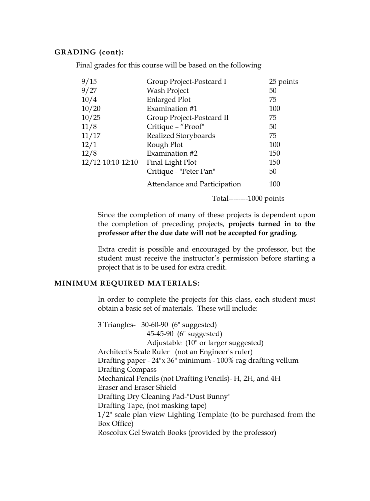#### **GRADING (cont):**

Final grades for this course will be based on the following

| 9/15              | Group Project-Postcard I     | 25 points |
|-------------------|------------------------------|-----------|
| 9/27              | Wash Project                 | 50        |
| 10/4              | <b>Enlarged Plot</b>         | 75        |
| 10/20             | Examination #1               | 100       |
| 10/25             | Group Project-Postcard II    | 75        |
| 11/8              | Critique - "Proof"           | 50        |
| 11/17             | Realized Storyboards         | 75        |
| 12/1              | Rough Plot                   | 100       |
| 12/8              | Examination #2               | 150       |
| 12/12-10:10-12:10 | Final Light Plot             | 150       |
|                   | Critique - "Peter Pan"       | 50        |
|                   | Attendance and Participation | 100       |

Total--------1000 points

Since the completion of many of these projects is dependent upon the completion of preceding projects, **projects turned in to the professor after the due date will not be accepted for grading**.

Extra credit is possible and encouraged by the professor, but the student must receive the instructor's permission before starting a project that is to be used for extra credit.

#### **MINIMUM REQUIRED MATERIALS:**

In order to complete the projects for this class, each student must obtain a basic set of materials. These will include:

3 Triangles- 30-60-90 (6" suggested) 45-45-90 (6" suggested) Adjustable (10" or larger suggested) Architect's Scale Ruler (not an Engineer's ruler) Drafting paper - 24"x 36" minimum - 100% rag drafting vellum Drafting Compass Mechanical Pencils (not Drafting Pencils)- H, 2H, and 4H Eraser and Eraser Shield Drafting Dry Cleaning Pad-"Dust Bunny" Drafting Tape, (not masking tape) 1/2" scale plan view Lighting Template (to be purchased from the Box Office) Roscolux Gel Swatch Books (provided by the professor)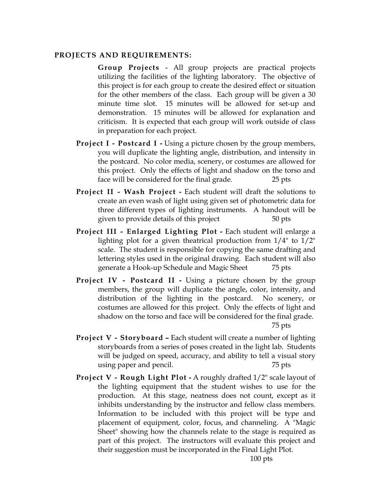#### **PROJECTS AND REQUIREMENTS:**

**Group Projects** - All group projects are practical projects utilizing the facilities of the lighting laboratory. The objective of this project is for each group to create the desired effect or situation for the other members of the class. Each group will be given a 30 minute time slot. 15 minutes will be allowed for set-up and demonstration. 15 minutes will be allowed for explanation and criticism. It is expected that each group will work outside of class in preparation for each project.

- **Project I Postcard I -** Using a picture chosen by the group members, you will duplicate the lighting angle, distribution, and intensity in the postcard. No color media, scenery, or costumes are allowed for this project. Only the effects of light and shadow on the torso and face will be considered for the final grade. 25 pts
- **Project II Wash Project** Each student will draft the solutions to create an even wash of light using given set of photometric data for three different types of lighting instruments. A handout will be given to provide details of this project 50 pts
- **Project III Enlarged Lighting Plot** Each student will enlarge a lighting plot for a given theatrical production from 1/4" to 1/2" scale. The student is responsible for copying the same drafting and lettering styles used in the original drawing. Each student will also generate a Hook-up Schedule and Magic Sheet 75 pts
- **Project IV Postcard II -** Using a picture chosen by the group members, the group will duplicate the angle, color, intensity, and distribution of the lighting in the postcard. No scenery, or costumes are allowed for this project. Only the effects of light and shadow on the torso and face will be considered for the final grade. 75 pts
- **Project V Storyboard Each student will create a number of lighting** storyboards from a series of poses created in the light lab. Students will be judged on speed, accuracy, and ability to tell a visual story using paper and pencil. 75 pts
- **Project V Rough Light Plot** A roughly drafted 1/2" scale layout of the lighting equipment that the student wishes to use for the production. At this stage, neatness does not count, except as it inhibits understanding by the instructor and fellow class members. Information to be included with this project will be type and placement of equipment, color, focus, and channeling. A "Magic Sheet" showing how the channels relate to the stage is required as part of this project. The instructors will evaluate this project and their suggestion must be incorporated in the Final Light Plot.

100 pts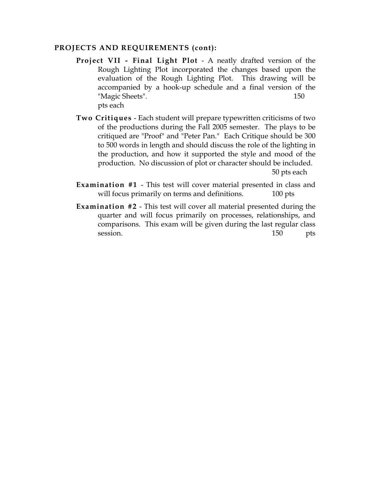#### **PROJECTS AND REQUIREMENTS (cont):**

- **Project VII Final Light Plot**  A neatly drafted version of the Rough Lighting Plot incorporated the changes based upon the evaluation of the Rough Lighting Plot. This drawing will be accompanied by a hook-up schedule and a final version of the "Magic Sheets". 150 pts each
- **Two Critiques** Each student will prepare typewritten criticisms of two of the productions during the Fall 2005 semester. The plays to be critiqued are "Proof" and "Peter Pan." Each Critique should be 300 to 500 words in length and should discuss the role of the lighting in the production, and how it supported the style and mood of the production. No discussion of plot or character should be included.

50 pts each

- **Examination #1** This test will cover material presented in class and will focus primarily on terms and definitions. 100 pts
- **Examination #2** This test will cover all material presented during the quarter and will focus primarily on processes, relationships, and comparisons. This exam will be given during the last regular class session. 150 pts